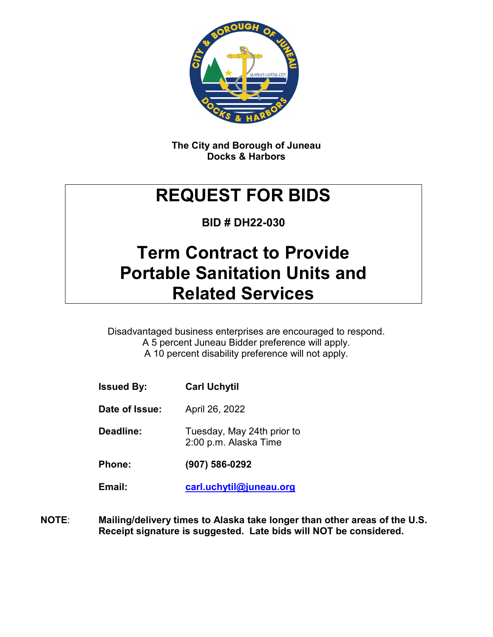

**The City and Borough of Juneau Docks & Harbors**

# **REQUEST FOR BIDS**

**BID # DH22-030**

## **Term Contract to Provide Portable Sanitation Units and Related Services**

Disadvantaged business enterprises are encouraged to respond. A 5 percent Juneau Bidder preference will apply. A 10 percent disability preference will not apply.

| <b>Issued By:</b> | <b>Carl Uchytil</b>                                 |
|-------------------|-----------------------------------------------------|
| Date of Issue:    | April 26, 2022                                      |
| Deadline:         | Tuesday, May 24th prior to<br>2:00 p.m. Alaska Time |
| <b>Phone:</b>     | $(907) 586 - 0292$                                  |
| Email:            | carl.uchytil@juneau.org                             |

**NOTE**: **Mailing/delivery times to Alaska take longer than other areas of the U.S. Receipt signature is suggested. Late bids will NOT be considered.**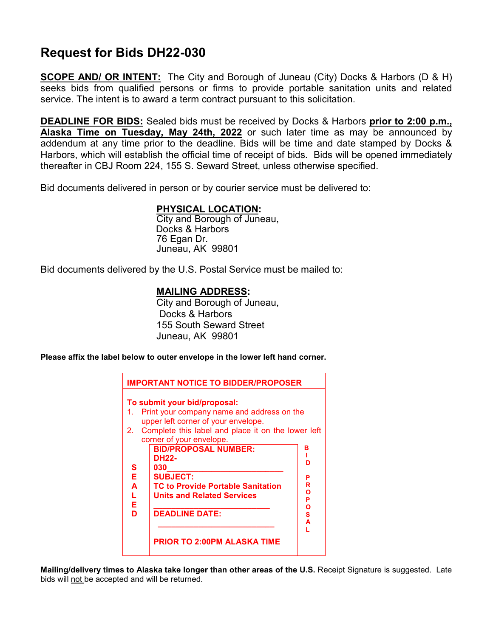### **Request for Bids DH22-030**

**SCOPE AND/ OR INTENT:** The City and Borough of Juneau (City) Docks & Harbors (D & H) seeks bids from qualified persons or firms to provide portable sanitation units and related service. The intent is to award a term contract pursuant to this solicitation.

**DEADLINE FOR BIDS:** Sealed bids must be received by Docks & Harbors **prior to 2:00 p.m., Alaska Time on Tuesday, May 24th, 2022** or such later time as may be announced by addendum at any time prior to the deadline. Bids will be time and date stamped by Docks & Harbors, which will establish the official time of receipt of bids. Bids will be opened immediately thereafter in CBJ Room 224, 155 S. Seward Street, unless otherwise specified.

Bid documents delivered in person or by courier service must be delivered to:

#### **PHYSICAL LOCATION:**

City and Borough of Juneau, Docks & Harbors 76 Egan Dr. Juneau, AK 99801

Bid documents delivered by the U.S. Postal Service must be mailed to:

#### **MAILING ADDRESS:**

City and Borough of Juneau, Docks & Harbors 155 South Seward Street Juneau, AK 99801

**Please affix the label below to outer envelope in the lower left hand corner.**



**Mailing/delivery times to Alaska take longer than other areas of the U.S.** Receipt Signature is suggested. Late bids will not be accepted and will be returned.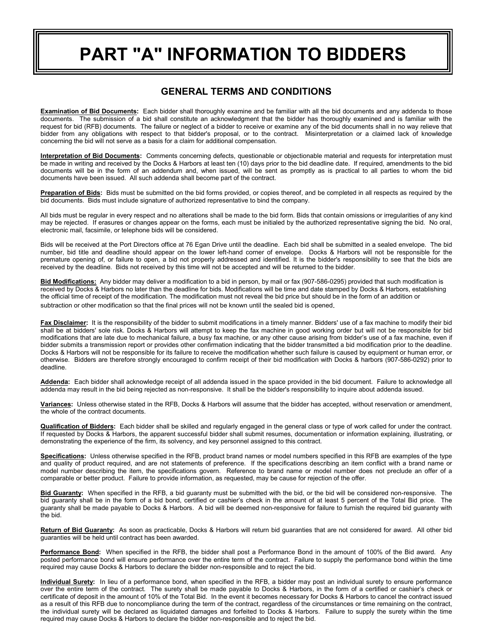# **PART "A" INFORMATION TO BIDDERS**

#### **GENERAL TERMS AND CONDITIONS**

**Examination of Bid Documents:** Each bidder shall thoroughly examine and be familiar with all the bid documents and any addenda to those documents. The submission of a bid shall constitute an acknowledgment that the bidder has thoroughly examined and is familiar with the request for bid (RFB) documents. The failure or neglect of a bidder to receive or examine any of the bid documents shall in no way relieve that bidder from any obligations with respect to that bidder's proposal, or to the contract. Misinterpretation or a claimed lack of knowledge concerning the bid will not serve as a basis for a claim for additional compensation.

**Interpretation of Bid Documents:** Comments concerning defects, questionable or objectionable material and requests for interpretation must be made in writing and received by the Docks & Harbors at least ten (10) days prior to the bid deadline date. If required, amendments to the bid documents will be in the form of an addendum and, when issued, will be sent as promptly as is practical to all parties to whom the bid documents have been issued. All such addenda shall become part of the contract.

**Preparation of Bids:** Bids must be submitted on the bid forms provided, or copies thereof, and be completed in all respects as required by the bid documents. Bids must include signature of authorized representative to bind the company.

All bids must be regular in every respect and no alterations shall be made to the bid form. Bids that contain omissions or irregularities of any kind may be rejected. If erasures or changes appear on the forms, each must be initialed by the authorized representative signing the bid. No oral, electronic mail, facsimile, or telephone bids will be considered.

Bids will be received at the Port Directors office at 76 Egan Drive until the deadline. Each bid shall be submitted in a sealed envelope. The bid number, bid title and deadline should appear on the lower left-hand corner of envelope. Docks & Harbors will not be responsible for the premature opening of, or failure to open, a bid not properly addressed and identified. It is the bidder's responsibility to see that the bids are received by the deadline. Bids not received by this time will not be accepted and will be returned to the bidder.

**Bid Modifications:** Any bidder may deliver a modification to a bid in person, by mail or fax (907-586-0295) provided that such modification is received by Docks & Harbors no later than the deadline for bids. Modifications will be time and date stamped by Docks & Harbors, establishing the official time of receipt of the modification. The modification must not reveal the bid price but should be in the form of an addition or subtraction or other modification so that the final prices will not be known until the sealed bid is opened.

Fax Disclaimer: It is the responsibility of the bidder to submit modifications in a timely manner. Bidders' use of a fax machine to modify their bid shall be at bidders' sole risk. Docks & Harbors will attempt to keep the fax machine in good working order but will not be responsible for bid modifications that are late due to mechanical failure, a busy fax machine, or any other cause arising from bidder's use of a fax machine, even if bidder submits a transmission report or provides other confirmation indicating that the bidder transmitted a bid modification prior to the deadline. Docks & Harbors will not be responsible for its failure to receive the modification whether such failure is caused by equipment or human error, or otherwise. Bidders are therefore strongly encouraged to confirm receipt of their bid modification with Docks & harbors (907-586-0292) prior to deadline.

**Addenda:** Each bidder shall acknowledge receipt of all addenda issued in the space provided in the bid document. Failure to acknowledge all addenda may result in the bid being rejected as non-responsive. It shall be the bidder's responsibility to inquire about addenda issued.

**Variances:** Unless otherwise stated in the RFB, Docks & Harbors will assume that the bidder has accepted, without reservation or amendment, the whole of the contract documents.

**Qualification of Bidders:** Each bidder shall be skilled and regularly engaged in the general class or type of work called for under the contract. If requested by Docks & Harbors, the apparent successful bidder shall submit resumes, documentation or information explaining, illustrating, or demonstrating the experience of the firm, its solvency, and key personnel assigned to this contract.

**Specifications:** Unless otherwise specified in the RFB, product brand names or model numbers specified in this RFB are examples of the type and quality of product required, and are not statements of preference. If the specifications describing an item conflict with a brand name or model number describing the item, the specifications govern. Reference to brand name or model number does not preclude an offer of a comparable or better product. Failure to provide information, as requested, may be cause for rejection of the offer.

**Bid Guaranty:** When specified in the RFB, a bid guaranty must be submitted with the bid, or the bid will be considered non-responsive. The bid guaranty shall be in the form of a bid bond, certified or cashier's check in the amount of at least 5 percent of the Total Bid price. The guaranty shall be made payable to Docks & Harbors. A bid will be deemed non-responsive for failure to furnish the required bid guaranty with the bid.

**Return of Bid Guaranty:** As soon as practicable, Docks & Harbors will return bid guaranties that are not considered for award. All other bid guaranties will be held until contract has been awarded.

**Performance Bond:** When specified in the RFB, the bidder shall post a Performance Bond in the amount of 100% of the Bid award. Any posted performance bond will ensure performance over the entire term of the contract. Failure to supply the performance bond within the time required may cause Docks & Harbors to declare the bidder non-responsible and to reject the bid.

**Individual Surety:** In lieu of a performance bond, when specified in the RFB, a bidder may post an individual surety to ensure performance over the entire term of the contract. The surety shall be made payable to Docks & Harbors, in the form of a certified or cashier's check or certificate of deposit in the amount of 10% of the Total Bid. In the event it becomes necessary for Docks & Harbors to cancel the contract issued as a result of this RFB due to noncompliance during the term of the contract, regardless of the circumstances or time remaining on the contract, the individual surety will be declared as liquidated damages and forfeited to Docks & Harbors. Failure to supply the surety within the time required may cause Docks & Harbors to declare the bidder non-responsible and to reject the bid.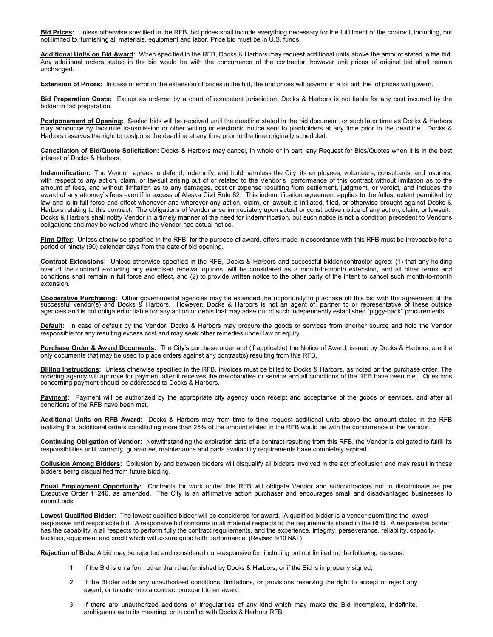**Bid Prices:** Unless otherwise specified in the RFB, bid prices shall include everything necessary for the fulfillment of the contract, including, but not limited to, furnishing all materials, equipment and labor. Price bid must be in U.S. funds.

**Additional Units on Bid Award:** When specified in the RFB, Docks & Harbors may request additional units above the amount stated in the bid. Any additional orders stated in the bid would be with the concurrence of the contractor; however unit prices of original bid shall remain unchanged.

**Extension of Prices:** In case of error in the extension of prices in the bid, the unit prices will govern; in a lot bid, the lot prices will govern.

**Bid Preparation Costs:** Except as ordered by a court of competent jurisdiction, Docks & Harbors is not liable for any cost incurred by the bidder in bid preparation.

**Postponement of Opening:** Sealed bids will be received until the deadline stated in the bid document, or such later time as Docks & Harbors may announce by facsimile transmission or other writing or electronic notice sent to planholders at any time prior to the deadline. Docks & Harbors reserves the right to postpone the deadline at any time prior to the time originally scheduled.

**Cancellation of Bid/Quote Solicitation:** Docks & Harbors may cancel, in whole or in part, any Request for Bids/Quotes when it is in the best interest of Docks & Harbors.

**Indemnification:** The Vendor agrees to defend, indemnify, and hold harmless the City, its employees, volunteers, consultants, and insurers, with respect to any action, claim, or lawsuit arising out of or related to the Vendor's performance of this contract without limitation as to the amount of fees, and without limitation as to any damages, cost or expense resulting from settlement, judgment, or verdict, and includes the award of any attorney's fees even if in excess of Alaska Civil Rule 82. This indemnification agreement applies to the fullest extent permitted by law and is in full force and effect whenever and wherever any action, claim, or lawsuit is initiated, filed, or otherwise brought against Docks & Harbors relating to this contract. The obligations of Vendor arise immediately upon actual or constructive notice of any action, claim, or lawsuit. Docks & Harbors shall notify Vendor in a timely manner of the need for indemnification, but such notice is not a condition precedent to Vendor's obligations and may be waived where the Vendor has actual notice.

**Firm Offer:** Unless otherwise specified in the RFB, for the purpose of award, offers made in accordance with this RFB must be irrevocable for a period of ninety (90) calendar days from the date of bid opening.

**Contract Extensions:** Unless otherwise specified in the RFB, Docks & Harbors and successful bidder/contractor agree: (1) that any holding over of the contract excluding any exercised renewal options, will be considered as a month-to-month extension, and all other terms and conditions shall remain in full force and effect, and (2) to provide written notice to the other party of the intent to cancel such month-to-month extension.

**Cooperative Purchasing:** Other governmental agencies may be extended the opportunity to purchase off this bid with the agreement of the successful vendor(s) and Docks & Harbors. However, Docks & Harbors is not an agent of, partner to or representative of these outside agencies and is not obligated or liable for any action or debts that may arise out of such independently established "piggy-back" procurements.

**Default:** In case of default by the Vendor, Docks & Harbors may procure the goods or services from another source and hold the Vendor responsible for any resulting excess cost and may seek other remedies under law or equity.

**Purchase Order & Award Documents:** The City's purchase order and (if applicable) the Notice of Award, issued by Docks & Harbors, are the only documents that may be used to place orders against any contract(s) resulting from this RFB.

**Billing Instructions:** Unless otherwise specified in the RFB, invoices must be billed to Docks & Harbors, as noted on the purchase order. The ordering agency will approve for payment after it receives the merchandise or service and all conditions of the RFB have been met. Questions concerning payment should be addressed to Docks & Harbors.

**Payment:** Payment will be authorized by the appropriate city agency upon receipt and acceptance of the goods or services, and after all conditions of the RFB have been met.

**Additional Units on RFB Award:** Docks & Harbors may from time to time request additional units above the amount stated in the RFB realizing that additional orders constituting more than 25% of the amount stated in the RFB would be with the concurrence of the Vendor.

**Continuing Obligation of Vendor:** Notwithstanding the expiration date of a contract resulting from this RFB, the Vendor is obligated to fulfill its responsibilities until warranty, guarantee, maintenance and parts availability requirements have completely expired.

**Collusion Among Bidders:** Collusion by and between bidders will disqualify all bidders involved in the act of collusion and may result in those bidders being disqualified from future bidding.

**Equal Employment Opportunity:** Contracts for work under this RFB will obligate Vendor and subcontractors not to discriminate as per Executive Order 11246, as amended. The City is an affirmative action purchaser and encourages small and disadvantaged businesses to submit bids.

**Lowest Qualified Bidder:** The lowest qualified bidder will be considered for award. A qualified bidder is a vendor submitting the lowest responsive and responsible bid. A responsive bid conforms in all material respects to the requirements stated in the RFB. A responsible bidder has the capability in all respects to perform fully the contract requirements, and the experience, integrity, perseverance, reliability, capacity, facilities, equipment and credit which will assure good faith performance. (Revised 5/10 NAT)

**Rejection of Bids:** A bid may be rejected and considered non-responsive for, including but not limited to, the following reasons:

- 1. If the Bid is on a form other than that furnished by Docks & Harbors, or if the Bid is improperly signed;
- 2. If the Bidder adds any unauthorized conditions, limitations, or provisions reserving the right to accept or reject any award, or to enter into a contract pursuant to an award.
- 3. If there are unauthorized additions or irregularities of any kind which may make the Bid incomplete, indefinite, ambiguous as to its meaning, or in conflict with Docks & Harbors RFB;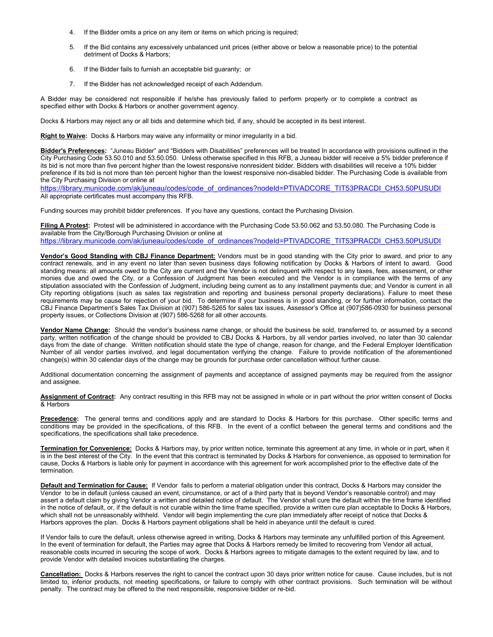- 4. If the Bidder omits a price on any item or items on which pricing is required;
- 5. If the Bid contains any excessively unbalanced unit prices (either above or below a reasonable price) to the potential detriment of Docks & Harbors;
- 6. If the Bidder fails to furnish an acceptable bid guaranty; or
- 7. If the Bidder has not acknowledged receipt of each Addendum.

A Bidder may be considered not responsible if he/she has previously failed to perform properly or to complete a contract as specified either with Docks & Harbors or another government agency.

Docks & Harbors may reject any or all bids and determine which bid, if any, should be accepted in its best interest.

**Right to Waive:** Docks & Harbors may waive any informality or minor irregularity in a bid.

**Bidder's Preferences:** "Juneau Bidder" and "Bidders with Disabilities" preferences will be treated In accordance with provisions outlined in the City Purchasing Code 53.50.010 and 53.50.050. Unless otherwise specified in this RFB, a Juneau bidder will receive a 5% bidder preference if its bid is not more than five percent higher than the lowest responsive nonresident bidder. Bidders with disabilities will receive a 10% bidder preference if its bid is not more than ten percent higher than the lowest responsive non-disabled bidder. The Purchasing Code is available from the City Purchasing Division or online at

[https://library.municode.com/ak/juneau/codes/code\\_of\\_ordinances?nodeId=PTIVADCORE\\_TIT53PRACDI\\_CH53.50PUSUDI](https://library.municode.com/ak/juneau/codes/code_of_ordinances?nodeId=PTIVADCORE_TIT53PRACDI_CH53.50PUSUDI) All appropriate certificates must accompany this RFB.

Funding sources may prohibit bidder preferences. If you have any questions, contact the Purchasing Division.

**Filing A Protest:** Protest will be administered in accordance with the Purchasing Code 53.50.062 and 53.50.080. The Purchasing Code is available from the City/Borough Purchasing Division or online at [https://library.municode.com/ak/juneau/codes/code\\_of\\_ordinances?nodeId=PTIVADCORE\\_TIT53PRACDI\\_CH53.50PUSUDI](https://library.municode.com/ak/juneau/codes/code_of_ordinances?nodeId=PTIVADCORE_TIT53PRACDI_CH53.50PUSUDI)

**Vendor's Good Standing with CBJ Finance Department:** Vendors must be in good standing with the City prior to award, and prior to any contract renewals, and in any event no later than seven business days following notification by Docks & Harbors of intent to award. Good standing means: all amounts owed to the City are current and the Vendor is not delinquent with respect to any taxes, fees, assessment, or other monies due and owed the City, or a Confession of Judgment has been executed and the Vendor is in compliance with the terms of any stipulation associated with the Confession of Judgment, including being current as to any installment payments due; and Vendor is current in all City reporting obligations (such as sales tax registration and reporting and business personal property declarations). Failure to meet these requirements may be cause for rejection of your bid. To determine if your business is in good standing, or for further information, contact the CBJ Finance Department's Sales Tax Division at (907) 586-5265 for sales tax issues, Assessor's Office at (907)586-0930 for business personal property issues, or Collections Division at (907) 586-5268 for all other accounts.

**Vendor Name Change:** Should the vendor's business name change, or should the business be sold, transferred to, or assumed by a second party, written notification of the change should be provided to CBJ Docks & Harbors, by all vendor parties involved, no later than 30 calendar days from the date of change. Written notification should state the type of change, reason for change, and the Federal Employer Identification Number of all vendor parties involved, and legal documentation verifying the change. Failure to provide notification of the aforementioned change(s) within 30 calendar days of the change may be grounds for purchase order cancellation without further cause.

Additional documentation concerning the assignment of payments and acceptance of assigned payments may be required from the assignor and assignee.

**Assignment of Contract:** Any contract resulting in this RFB may not be assigned in whole or in part without the prior written consent of Docks & Harbors

**Precedence:** The general terms and conditions apply and are standard to Docks & Harbors for this purchase. Other specific terms and conditions may be provided in the specifications, of this RFB. In the event of a conflict between the general terms and conditions and the specifications, the specifications shall take precedence.

**Termination for Convenience:** Docks & Harbors may, by prior written notice, terminate this agreement at any time, in whole or in part, when it is in the best interest of the City. In the event that this contract is terminated by Docks & Harbors for convenience, as opposed to termination for cause, Docks & Harbors is liable only for payment in accordance with this agreement for work accomplished prior to the effective date of the termination.

**Default and Termination for Cause:** If Vendor fails to perform a material obligation under this contract, Docks & Harbors may consider the Vendor to be in default (unless caused an event, circumstance, or act of a third party that is beyond Vendor's reasonable control) and may assert a default claim by giving Vendor a written and detailed notice of default. The Vendor shall cure the default within the time frame identified in the notice of default, or, if the default is not curable within the time frame specified, provide a written cure plan acceptable to Docks & Harbors, which shall not be unreasonably withheld. Vendor will begin implementing the cure plan immediately after receipt of notice that Docks & Harbors approves the plan. Docks & Harbors payment obligations shall be held in abeyance until the default is cured.

If Vendor fails to cure the default, unless otherwise agreed in writing, Docks & Harbors may terminate any unfulfilled portion of this Agreement. In the event of termination for default, the Parties may agree that Docks & Harbors remedy be limited to recovering from Vendor all actual, reasonable costs incurred in securing the scope of work. Docks & Harbors agrees to mitigate damages to the extent required by law, and to provide Vendor with detailed invoices substantiating the charges.

**Cancellation:** Docks & Harbors reserves the right to cancel the contract upon 30 days prior written notice for cause. Cause includes, but is not limited to, inferior products, not meeting specifications, or failure to comply with other contract provisions. Such termination will be without penalty. The contract may be offered to the next responsible, responsive bidder or re-bid.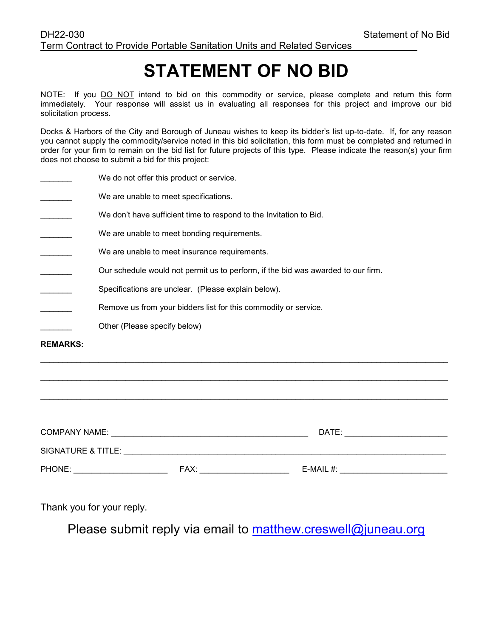# **STATEMENT OF NO BID**

NOTE: If you DO NOT intend to bid on this commodity or service, please complete and return this form immediately. Your response will assist us in evaluating all responses for this project and improve our bid solicitation process.

Docks & Harbors of the City and Borough of Juneau wishes to keep its bidder's list up-to-date. If, for any reason you cannot supply the commodity/service noted in this bid solicitation, this form must be completed and returned in order for your firm to remain on the bid list for future projects of this type. Please indicate the reason(s) your firm does not choose to submit a bid for this project:

| <b>REMARKS:</b> |                                                                                  |
|-----------------|----------------------------------------------------------------------------------|
|                 | Other (Please specify below)                                                     |
|                 | Remove us from your bidders list for this commodity or service.                  |
|                 | Specifications are unclear. (Please explain below).                              |
|                 | Our schedule would not permit us to perform, if the bid was awarded to our firm. |
|                 | We are unable to meet insurance requirements.                                    |
|                 | We are unable to meet bonding requirements.                                      |
|                 | We don't have sufficient time to respond to the Invitation to Bid.               |
|                 | We are unable to meet specifications.                                            |
|                 | We do not offer this product or service.                                         |

| <b>COMPANY NAME:</b> | DATE: |              |
|----------------------|-------|--------------|
| SIGNATURE & TITLE:   |       |              |
| PHONE:               | FAX:  | E-MAIL $#$ : |

\_\_\_\_\_\_\_\_\_\_\_\_\_\_\_\_\_\_\_\_\_\_\_\_\_\_\_\_\_\_\_\_\_\_\_\_\_\_\_\_\_\_\_\_\_\_\_\_\_\_\_\_\_\_\_\_\_\_\_\_\_\_\_\_\_\_\_\_\_\_\_\_\_\_\_\_\_\_\_\_\_\_\_\_\_\_\_\_\_\_\_

Thank you for your reply.

Please submit reply via email to [matthew.creswell@juneau.org](mailto:matthew.creswell@juneau.org)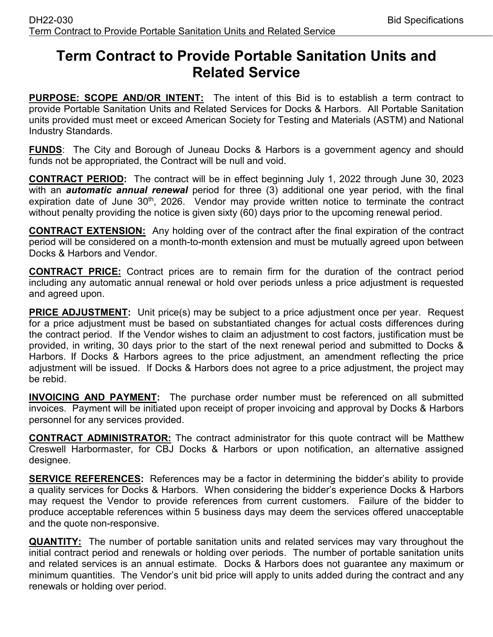### **Term Contract to Provide Portable Sanitation Units and Related Service**

**PURPOSE: SCOPE AND/OR INTENT:** The intent of this Bid is to establish a term contract to provide Portable Sanitation Units and Related Services for Docks & Harbors. All Portable Sanitation units provided must meet or exceed American Society for Testing and Materials (ASTM) and National Industry Standards.

**FUNDS**: The City and Borough of Juneau Docks & Harbors is a government agency and should funds not be appropriated, the Contract will be null and void.

**CONTRACT PERIOD:** The contract will be in effect beginning July 1, 2022 through June 30, 2023 with an *automatic annual renewal* period for three (3) additional one year period, with the final expiration date of June 30<sup>th</sup>, 2026. Vendor may provide written notice to terminate the contract without penalty providing the notice is given sixty (60) days prior to the upcoming renewal period.

**CONTRACT EXTENSION:** Any holding over of the contract after the final expiration of the contract period will be considered on a month-to-month extension and must be mutually agreed upon between Docks & Harbors and Vendor.

**CONTRACT PRICE:** Contract prices are to remain firm for the duration of the contract period including any automatic annual renewal or hold over periods unless a price adjustment is requested and agreed upon.

**PRICE ADJUSTMENT:** Unit price(s) may be subject to a price adjustment once per year. Request for a price adjustment must be based on substantiated changes for actual costs differences during the contract period. If the Vendor wishes to claim an adjustment to cost factors, justification must be provided, in writing, 30 days prior to the start of the next renewal period and submitted to Docks & Harbors. If Docks & Harbors agrees to the price adjustment, an amendment reflecting the price adjustment will be issued. If Docks & Harbors does not agree to a price adjustment, the project may be rebid.

**INVOICING AND PAYMENT:** The purchase order number must be referenced on all submitted invoices. Payment will be initiated upon receipt of proper invoicing and approval by Docks & Harbors personnel for any services provided.

**CONTRACT ADMINISTRATOR:** The contract administrator for this quote contract will be Matthew Creswell Harbormaster, for CBJ Docks & Harbors or upon notification, an alternative assigned designee.

**SERVICE REFERENCES:** References may be a factor in determining the bidder's ability to provide a quality services for Docks & Harbors. When considering the bidder's experience Docks & Harbors may request the Vendor to provide references from current customers. Failure of the bidder to produce acceptable references within 5 business days may deem the services offered unacceptable and the quote non-responsive.

**QUANTITY:** The number of portable sanitation units and related services may vary throughout the initial contract period and renewals or holding over periods. The number of portable sanitation units and related services is an annual estimate. Docks & Harbors does not guarantee any maximum or minimum quantities. The Vendor's unit bid price will apply to units added during the contract and any renewals or holding over period.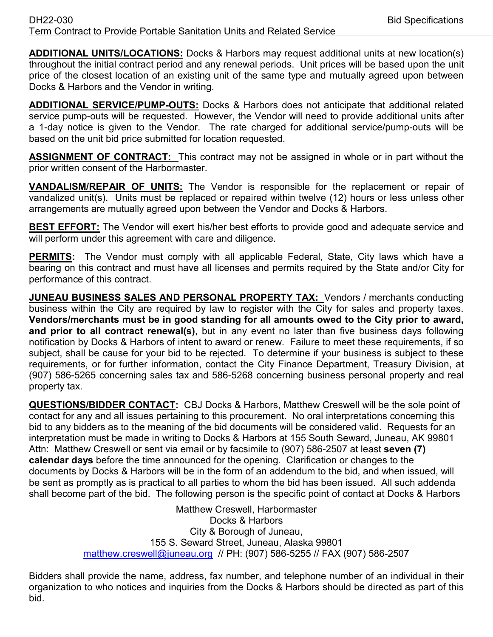**ADDITIONAL UNITS/LOCATIONS:** Docks & Harbors may request additional units at new location(s) throughout the initial contract period and any renewal periods. Unit prices will be based upon the unit price of the closest location of an existing unit of the same type and mutually agreed upon between Docks & Harbors and the Vendor in writing.

**ADDITIONAL SERVICE/PUMP-OUTS:** Docks & Harbors does not anticipate that additional related service pump-outs will be requested. However, the Vendor will need to provide additional units after a 1-day notice is given to the Vendor. The rate charged for additional service/pump-outs will be based on the unit bid price submitted for location requested.

**ASSIGNMENT OF CONTRACT:** This contract may not be assigned in whole or in part without the prior written consent of the Harbormaster.

**VANDALISM/REPAIR OF UNITS:** The Vendor is responsible for the replacement or repair of vandalized unit(s). Units must be replaced or repaired within twelve (12) hours or less unless other arrangements are mutually agreed upon between the Vendor and Docks & Harbors.

**BEST EFFORT:** The Vendor will exert his/her best efforts to provide good and adequate service and will perform under this agreement with care and diligence.

**PERMITS:** The Vendor must comply with all applicable Federal, State, City laws which have a bearing on this contract and must have all licenses and permits required by the State and/or City for performance of this contract.

**JUNEAU BUSINESS SALES AND PERSONAL PROPERTY TAX:** Vendors / merchants conducting business within the City are required by law to register with the City for sales and property taxes. **Vendors/merchants must be in good standing for all amounts owed to the City prior to award, and prior to all contract renewal(s)**, but in any event no later than five business days following notification by Docks & Harbors of intent to award or renew. Failure to meet these requirements, if so subject, shall be cause for your bid to be rejected. To determine if your business is subject to these requirements, or for further information, contact the City Finance Department, Treasury Division, at (907) 586-5265 concerning sales tax and 586-5268 concerning business personal property and real property tax.

**QUESTIONS/BIDDER CONTACT:** CBJ Docks & Harbors, Matthew Creswell will be the sole point of contact for any and all issues pertaining to this procurement. No oral interpretations concerning this bid to any bidders as to the meaning of the bid documents will be considered valid. Requests for an interpretation must be made in writing to Docks & Harbors at 155 South Seward, Juneau, AK 99801 Attn: Matthew Creswell or sent via email or by facsimile to (907) 586-2507 at least **seven (7) calendar days** before the time announced for the opening. Clarification or changes to the documents by Docks & Harbors will be in the form of an addendum to the bid, and when issued, will be sent as promptly as is practical to all parties to whom the bid has been issued. All such addenda shall become part of the bid. The following person is the specific point of contact at Docks & Harbors

> Matthew Creswell, Harbormaster Docks & Harbors City & Borough of Juneau, 155 S. Seward Street, Juneau, Alaska 99801 [matthew.creswell@juneau.org](mailto:matthew.creswell@juneau.org) // PH: (907) 586-5255 // FAX (907) 586-2507

Bidders shall provide the name, address, fax number, and telephone number of an individual in their organization to who notices and inquiries from the Docks & Harbors should be directed as part of this bid.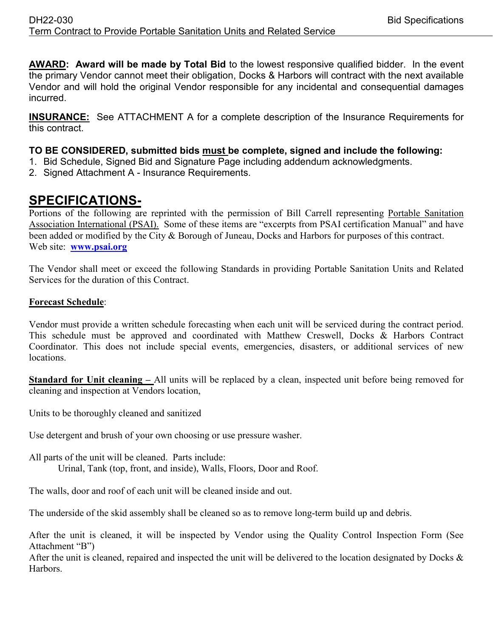**AWARD: Award will be made by Total Bid** to the lowest responsive qualified bidder. In the event the primary Vendor cannot meet their obligation, Docks & Harbors will contract with the next available Vendor and will hold the original Vendor responsible for any incidental and consequential damages incurred.

**INSURANCE:** See ATTACHMENT A for a complete description of the Insurance Requirements for this contract.

#### **TO BE CONSIDERED, submitted bids must be complete, signed and include the following:**

- 1. Bid Schedule, Signed Bid and Signature Page including addendum acknowledgments.
- 2. Signed Attachment A Insurance Requirements.

### **SPECIFICATIONS-**

Portions of the following are reprinted with the permission of Bill Carrell representing Portable Sanitation Association International (PSAI). Some of these items are "excerpts from PSAI certification Manual" and have been added or modified by the City & Borough of Juneau, Docks and Harbors for purposes of this contract. Web site: **[www.psai.org](http://www.psai.org/)**

The Vendor shall meet or exceed the following Standards in providing Portable Sanitation Units and Related Services for the duration of this Contract.

#### **Forecast Schedule**:

Vendor must provide a written schedule forecasting when each unit will be serviced during the contract period. This schedule must be approved and coordinated with Matthew Creswell, Docks & Harbors Contract Coordinator. This does not include special events, emergencies, disasters, or additional services of new locations.

**Standard for Unit cleaning –** All units will be replaced by a clean, inspected unit before being removed for cleaning and inspection at Vendors location,

Units to be thoroughly cleaned and sanitized

Use detergent and brush of your own choosing or use pressure washer.

All parts of the unit will be cleaned. Parts include: Urinal, Tank (top, front, and inside), Walls, Floors, Door and Roof.

The walls, door and roof of each unit will be cleaned inside and out.

The underside of the skid assembly shall be cleaned so as to remove long-term build up and debris.

After the unit is cleaned, it will be inspected by Vendor using the Quality Control Inspection Form (See Attachment "B")

After the unit is cleaned, repaired and inspected the unit will be delivered to the location designated by Docks  $\&$ Harbors.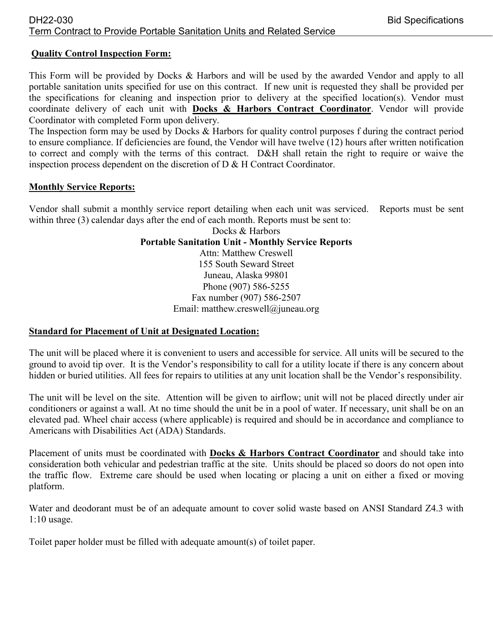#### **Quality Control Inspection Form:**

This Form will be provided by Docks & Harbors and will be used by the awarded Vendor and apply to all portable sanitation units specified for use on this contract. If new unit is requested they shall be provided per the specifications for cleaning and inspection prior to delivery at the specified location(s). Vendor must coordinate delivery of each unit with **Docks & Harbors Contract Coordinator**. Vendor will provide Coordinator with completed Form upon delivery.

The Inspection form may be used by Docks & Harbors for quality control purposes f during the contract period to ensure compliance. If deficiencies are found, the Vendor will have twelve (12) hours after written notification to correct and comply with the terms of this contract. D&H shall retain the right to require or waive the inspection process dependent on the discretion of  $D \& H$  Contract Coordinator.

#### **Monthly Service Reports:**

Vendor shall submit a monthly service report detailing when each unit was serviced. Reports must be sent within three (3) calendar days after the end of each month. Reports must be sent to:

Docks & Harbors **Portable Sanitation Unit - Monthly Service Reports** Attn: Matthew Creswell 155 South Seward Street Juneau, Alaska 99801 Phone (907) 586-5255 Fax number (907) 586-2507 Email: matthew.creswell@juneau.org

#### **Standard for Placement of Unit at Designated Location:**

The unit will be placed where it is convenient to users and accessible for service. All units will be secured to the ground to avoid tip over. It is the Vendor's responsibility to call for a utility locate if there is any concern about hidden or buried utilities. All fees for repairs to utilities at any unit location shall be the Vendor's responsibility.

The unit will be level on the site. Attention will be given to airflow; unit will not be placed directly under air conditioners or against a wall. At no time should the unit be in a pool of water. If necessary, unit shall be on an elevated pad. Wheel chair access (where applicable) is required and should be in accordance and compliance to Americans with Disabilities Act (ADA) Standards.

Placement of units must be coordinated with **Docks & Harbors Contract Coordinator** and should take into consideration both vehicular and pedestrian traffic at the site. Units should be placed so doors do not open into the traffic flow. Extreme care should be used when locating or placing a unit on either a fixed or moving platform.

Water and deodorant must be of an adequate amount to cover solid waste based on ANSI Standard Z4.3 with 1:10 usage.

Toilet paper holder must be filled with adequate amount(s) of toilet paper.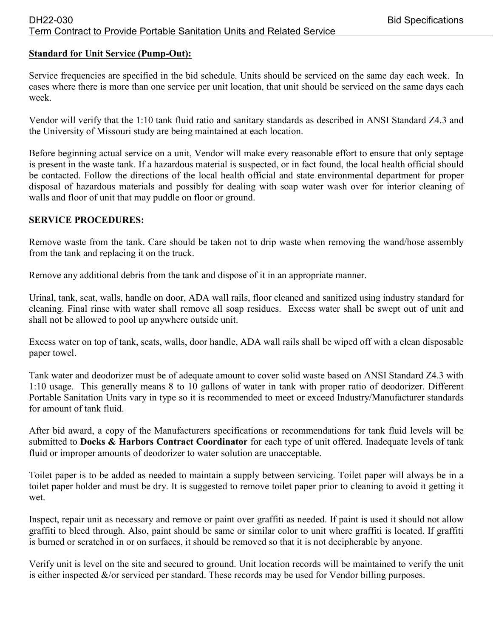#### **Standard for Unit Service (Pump-Out):**

Service frequencies are specified in the bid schedule. Units should be serviced on the same day each week. In cases where there is more than one service per unit location, that unit should be serviced on the same days each week.

Vendor will verify that the 1:10 tank fluid ratio and sanitary standards as described in ANSI Standard Z4.3 and the University of Missouri study are being maintained at each location.

Before beginning actual service on a unit, Vendor will make every reasonable effort to ensure that only septage is present in the waste tank. If a hazardous material is suspected, or in fact found, the local health official should be contacted. Follow the directions of the local health official and state environmental department for proper disposal of hazardous materials and possibly for dealing with soap water wash over for interior cleaning of walls and floor of unit that may puddle on floor or ground.

#### **SERVICE PROCEDURES:**

Remove waste from the tank. Care should be taken not to drip waste when removing the wand/hose assembly from the tank and replacing it on the truck.

Remove any additional debris from the tank and dispose of it in an appropriate manner.

Urinal, tank, seat, walls, handle on door, ADA wall rails, floor cleaned and sanitized using industry standard for cleaning. Final rinse with water shall remove all soap residues. Excess water shall be swept out of unit and shall not be allowed to pool up anywhere outside unit.

Excess water on top of tank, seats, walls, door handle, ADA wall rails shall be wiped off with a clean disposable paper towel.

Tank water and deodorizer must be of adequate amount to cover solid waste based on ANSI Standard Z4.3 with 1:10 usage. This generally means 8 to 10 gallons of water in tank with proper ratio of deodorizer. Different Portable Sanitation Units vary in type so it is recommended to meet or exceed Industry/Manufacturer standards for amount of tank fluid.

After bid award, a copy of the Manufacturers specifications or recommendations for tank fluid levels will be submitted to **Docks & Harbors Contract Coordinator** for each type of unit offered. Inadequate levels of tank fluid or improper amounts of deodorizer to water solution are unacceptable.

Toilet paper is to be added as needed to maintain a supply between servicing. Toilet paper will always be in a toilet paper holder and must be dry. It is suggested to remove toilet paper prior to cleaning to avoid it getting it wet.

Inspect, repair unit as necessary and remove or paint over graffiti as needed. If paint is used it should not allow graffiti to bleed through. Also, paint should be same or similar color to unit where graffiti is located. If graffiti is burned or scratched in or on surfaces, it should be removed so that it is not decipherable by anyone.

Verify unit is level on the site and secured to ground. Unit location records will be maintained to verify the unit is either inspected &/or serviced per standard. These records may be used for Vendor billing purposes.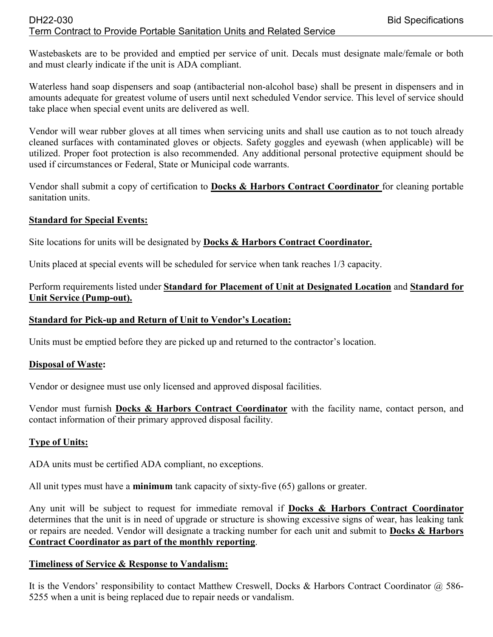#### DH22-030 Bid Specifications Term Contract to Provide Portable Sanitation Units and Related Service

Wastebaskets are to be provided and emptied per service of unit. Decals must designate male/female or both and must clearly indicate if the unit is ADA compliant.

Waterless hand soap dispensers and soap (antibacterial non-alcohol base) shall be present in dispensers and in amounts adequate for greatest volume of users until next scheduled Vendor service. This level of service should take place when special event units are delivered as well.

Vendor will wear rubber gloves at all times when servicing units and shall use caution as to not touch already cleaned surfaces with contaminated gloves or objects. Safety goggles and eyewash (when applicable) will be utilized. Proper foot protection is also recommended. Any additional personal protective equipment should be used if circumstances or Federal, State or Municipal code warrants.

Vendor shall submit a copy of certification to **Docks & Harbors Contract Coordinator** for cleaning portable sanitation units.

#### **Standard for Special Events:**

Site locations for units will be designated by **Docks & Harbors Contract Coordinator.**

Units placed at special events will be scheduled for service when tank reaches 1/3 capacity.

#### Perform requirements listed under **Standard for Placement of Unit at Designated Location** and **Standard for Unit Service (Pump-out).**

#### **Standard for Pick-up and Return of Unit to Vendor's Location:**

Units must be emptied before they are picked up and returned to the contractor's location.

#### **Disposal of Waste:**

Vendor or designee must use only licensed and approved disposal facilities.

Vendor must furnish **Docks & Harbors Contract Coordinator** with the facility name, contact person, and contact information of their primary approved disposal facility.

#### **Type of Units:**

ADA units must be certified ADA compliant, no exceptions.

All unit types must have a **minimum** tank capacity of sixty-five (65) gallons or greater.

Any unit will be subject to request for immediate removal if **Docks & Harbors Contract Coordinator** determines that the unit is in need of upgrade or structure is showing excessive signs of wear, has leaking tank or repairs are needed. Vendor will designate a tracking number for each unit and submit to **Docks & Harbors Contract Coordinator as part of the monthly reporting**.

#### **Timeliness of Service & Response to Vandalism:**

It is the Vendors' responsibility to contact Matthew Creswell, Docks & Harbors Contract Coordinator @ 586-5255 when a unit is being replaced due to repair needs or vandalism.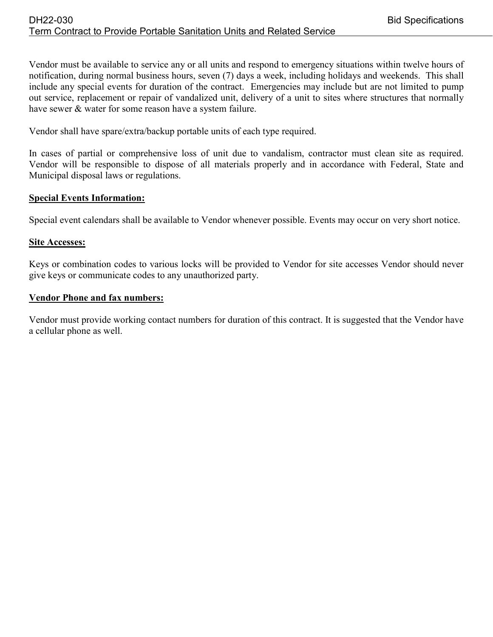Vendor must be available to service any or all units and respond to emergency situations within twelve hours of notification, during normal business hours, seven (7) days a week, including holidays and weekends. This shall include any special events for duration of the contract. Emergencies may include but are not limited to pump out service, replacement or repair of vandalized unit, delivery of a unit to sites where structures that normally have sewer & water for some reason have a system failure.

Vendor shall have spare/extra/backup portable units of each type required.

In cases of partial or comprehensive loss of unit due to vandalism, contractor must clean site as required. Vendor will be responsible to dispose of all materials properly and in accordance with Federal, State and Municipal disposal laws or regulations.

#### **Special Events Information:**

Special event calendars shall be available to Vendor whenever possible. Events may occur on very short notice.

#### **Site Accesses:**

Keys or combination codes to various locks will be provided to Vendor for site accesses Vendor should never give keys or communicate codes to any unauthorized party.

#### **Vendor Phone and fax numbers:**

Vendor must provide working contact numbers for duration of this contract. It is suggested that the Vendor have a cellular phone as well.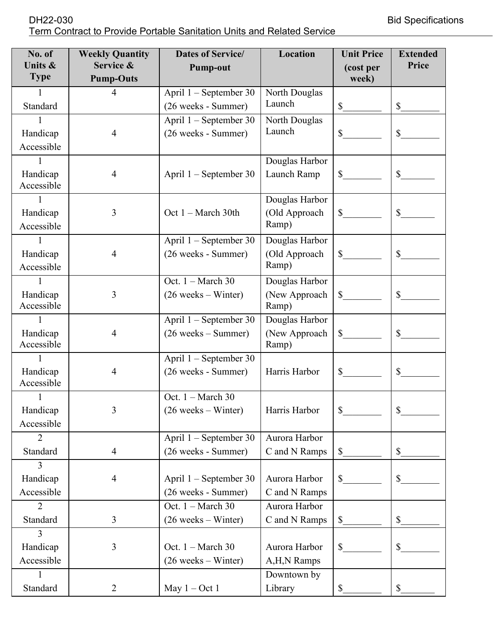| No. of<br>Units &<br><b>Type</b> | <b>Weekly Quantity</b><br>Service &<br><b>Pump-Outs</b> | <b>Dates of Service/</b><br><b>Pump-out</b>                     | Location                                 | <b>Unit Price</b><br>(cost per<br>week) | <b>Extended</b><br>Price  |
|----------------------------------|---------------------------------------------------------|-----------------------------------------------------------------|------------------------------------------|-----------------------------------------|---------------------------|
| Standard                         | $\overline{4}$                                          | April 1 – September 30<br>(26 weeks - Summer)                   | North Douglas<br>Launch                  |                                         | $S_{-}$                   |
| Handicap<br>Accessible           | $\overline{4}$                                          | April 1 - September 30<br>(26 weeks - Summer)                   | North Douglas<br>Launch                  | $\mathbb{S}$                            | $\mathbb{S}$              |
| Handicap<br>Accessible           | 4                                                       | April $1$ – September 30                                        | Douglas Harbor<br>Launch Ramp            |                                         | $\mathbb{S}$              |
| Handicap<br>Accessible           | 3                                                       | Oct $1 - March 30th$                                            | Douglas Harbor<br>(Old Approach<br>Ramp) | $\mathbb{S}$                            | $\mathbb{S}$              |
| Handicap<br>Accessible           | $\overline{4}$                                          | April 1 – September 30<br>(26 weeks - Summer)                   | Douglas Harbor<br>(Old Approach<br>Ramp) | $\frac{\text{S}}{\text{S}}$             | $\mathbb{S}$              |
| Handicap<br>Accessible           | 3                                                       | Oct. $1 - March 30$<br>$(26 \text{ weeks} - \text{Winter})$     | Douglas Harbor<br>(New Approach<br>Ramp) | $\frac{\text{S}}{\text{S}}$             | $\mathbb{S}$              |
| Handicap<br>Accessible           | $\overline{4}$                                          | April 1 – September 30<br>$(26 \text{ weeks} - \text{Summary})$ | Douglas Harbor<br>(New Approach<br>Ramp) | $\mathbb{S}$                            | \$                        |
| Handicap<br>Accessible           | 4                                                       | April 1 – September 30<br>(26 weeks - Summer)                   | Harris Harbor                            | $\mathbb{S}$                            | \$                        |
| 1<br>Handicap<br>Accessible      | 3                                                       | Oct. $1 - March 30$<br>$(26 \text{ weeks} - \text{Winter})$     | Harris Harbor                            | \$                                      | \$                        |
| $\overline{2}$<br>Standard       | $\overline{4}$                                          | April 1 – September 30<br>(26 weeks - Summer)                   | Aurora Harbor<br>C and N Ramps           | \$                                      | $\mathbb{S}$              |
| 3<br>Handicap<br>Accessible      | $\overline{4}$                                          | April 1 – September 30<br>(26 weeks - Summer)                   | Aurora Harbor<br>C and N Ramps           | $\mathbb{S}$                            | \$                        |
| 2<br>Standard                    | 3                                                       | Oct. 1 - March 30<br>$(26 \text{ weeks} - \text{Winter})$       | Aurora Harbor<br>C and N Ramps           | \$                                      | $\boldsymbol{\mathsf{S}}$ |
| 3<br>Handicap<br>Accessible      | 3                                                       | Oct. 1 - March 30<br>$(26 \text{ weeks} - \text{Winter})$       | Aurora Harbor<br>A,H,N Ramps             | $\mathbb{S}$                            | \$                        |
| Standard                         | 2                                                       | May $1 - Oct 1$                                                 | Downtown by<br>Library                   | \$                                      | \$                        |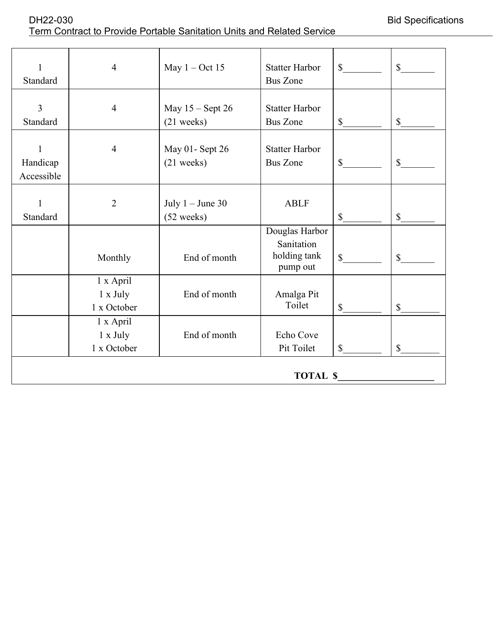| 1<br>Standard                          | $\overline{4}$                       | May $1 - Oct 15$                           | <b>Statter Harbor</b><br><b>Bus Zone</b>                 | $\mathbb{S}$  | $\mathbb{S}$ |
|----------------------------------------|--------------------------------------|--------------------------------------------|----------------------------------------------------------|---------------|--------------|
|                                        |                                      |                                            |                                                          |               |              |
| $\overline{3}$<br>Standard             | $\overline{4}$                       | May $15 -$ Sept 26<br>$(21$ weeks)         | <b>Statter Harbor</b><br><b>Bus Zone</b>                 | $\mathbb{S}$  | \$           |
| $\mathbf{1}$<br>Handicap<br>Accessible | $\overline{4}$                       | May 01- Sept 26<br>$(21$ weeks)            | <b>Statter Harbor</b><br><b>Bus Zone</b>                 | $\mathcal{S}$ | \$           |
| $\mathbf{1}$<br>Standard               | $\overline{2}$                       | July $1 -$ June 30<br>$(52 \text{ weeks})$ | <b>ABLF</b>                                              | $\mathcal{S}$ | $\mathbb{S}$ |
|                                        | Monthly                              | End of month                               | Douglas Harbor<br>Sanitation<br>holding tank<br>pump out | $\mathbb{S}$  | $\mathbb{S}$ |
|                                        | 1 x April<br>1 x July<br>1 x October | End of month                               | Amalga Pit<br>Toilet                                     | $\mathbb{S}$  | $\mathbb{S}$ |
|                                        | 1 x April<br>1 x July<br>1 x October | End of month                               | Echo Cove<br>Pit Toilet                                  | $\mathcal{S}$ | \$           |
|                                        |                                      |                                            | <b>TOTAL \$</b>                                          |               |              |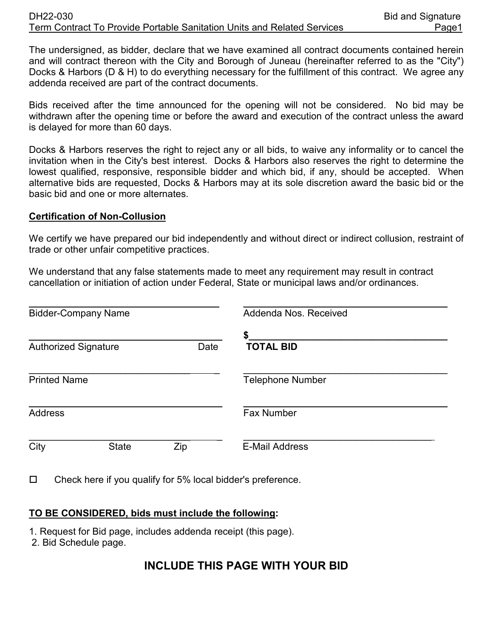#### DH22-030 Bid and Signature Term Contract To Provide Portable Sanitation Units and Related Services Page1

The undersigned, as bidder, declare that we have examined all contract documents contained herein and will contract thereon with the City and Borough of Juneau (hereinafter referred to as the "City") Docks & Harbors (D & H) to do everything necessary for the fulfillment of this contract. We agree any addenda received are part of the contract documents.

Bids received after the time announced for the opening will not be considered. No bid may be withdrawn after the opening time or before the award and execution of the contract unless the award is delayed for more than 60 days.

Docks & Harbors reserves the right to reject any or all bids, to waive any informality or to cancel the invitation when in the City's best interest. Docks & Harbors also reserves the right to determine the lowest qualified, responsive, responsible bidder and which bid, if any, should be accepted. When alternative bids are requested, Docks & Harbors may at its sole discretion award the basic bid or the basic bid and one or more alternates.

#### **Certification of Non-Collusion**

We certify we have prepared our bid independently and without direct or indirect collusion, restraint of trade or other unfair competitive practices.

We understand that any false statements made to meet any requirement may result in contract cancellation or initiation of action under Federal, State or municipal laws and/or ordinances.

| <b>Bidder-Company Name</b>  |              |      | Addenda Nos. Received   |  |
|-----------------------------|--------------|------|-------------------------|--|
| <b>Authorized Signature</b> |              | Date | \$<br><b>TOTAL BID</b>  |  |
| <b>Printed Name</b>         |              |      | <b>Telephone Number</b> |  |
| <b>Address</b>              |              |      | <b>Fax Number</b>       |  |
| City                        | <b>State</b> | Zip  | <b>E-Mail Address</b>   |  |

 $\Box$  Check here if you qualify for 5% local bidder's preference.

#### **TO BE CONSIDERED, bids must include the following:**

- 1. Request for Bid page, includes addenda receipt (this page).
- 2. Bid Schedule page.

### **INCLUDE THIS PAGE WITH YOUR BID**